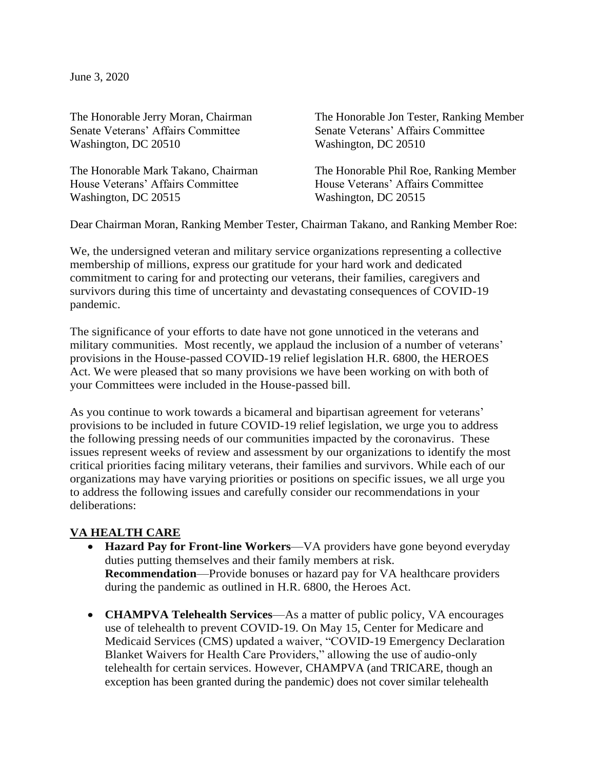June 3, 2020

Senate Veterans' Affairs Committee Senate Veterans' Affairs Committee Washington, DC 20510 Washington, DC 20510

House Veterans' Affairs Committee House Veterans' Affairs Committee Washington, DC 20515 Washington, DC 20515

The Honorable Jerry Moran, Chairman The Honorable Jon Tester, Ranking Member

The Honorable Mark Takano, Chairman The Honorable Phil Roe, Ranking Member

Dear Chairman Moran, Ranking Member Tester, Chairman Takano, and Ranking Member Roe:

We, the undersigned veteran and military service organizations representing a collective membership of millions, express our gratitude for your hard work and dedicated commitment to caring for and protecting our veterans, their families, caregivers and survivors during this time of uncertainty and devastating consequences of COVID-19 pandemic.

The significance of your efforts to date have not gone unnoticed in the veterans and military communities. Most recently, we applaud the inclusion of a number of veterans' provisions in the House-passed COVID-19 relief legislation H.R. 6800, the HEROES Act. We were pleased that so many provisions we have been working on with both of your Committees were included in the House-passed bill.

As you continue to work towards a bicameral and bipartisan agreement for veterans' provisions to be included in future COVID-19 relief legislation, we urge you to address the following pressing needs of our communities impacted by the coronavirus. These issues represent weeks of review and assessment by our organizations to identify the most critical priorities facing military veterans, their families and survivors. While each of our organizations may have varying priorities or positions on specific issues, we all urge you to address the following issues and carefully consider our recommendations in your deliberations:

## **VA HEALTH CARE**

- **Hazard Pay for Front-line Workers**—VA providers have gone beyond everyday duties putting themselves and their family members at risk. **Recommendation—Provide bonuses or hazard pay for VA healthcare providers** during the pandemic as outlined in H.R. 6800, the Heroes Act.
- **CHAMPVA Telehealth Services**—As a matter of public policy, VA encourages use of telehealth to prevent COVID-19. On May 15, Center for Medicare and Medicaid Services (CMS) updated a waiver, "COVID-19 Emergency Declaration Blanket Waivers for Health Care Providers," allowing the use of audio-only telehealth for certain services. However, CHAMPVA (and TRICARE, though an exception has been granted during the pandemic) does not cover similar telehealth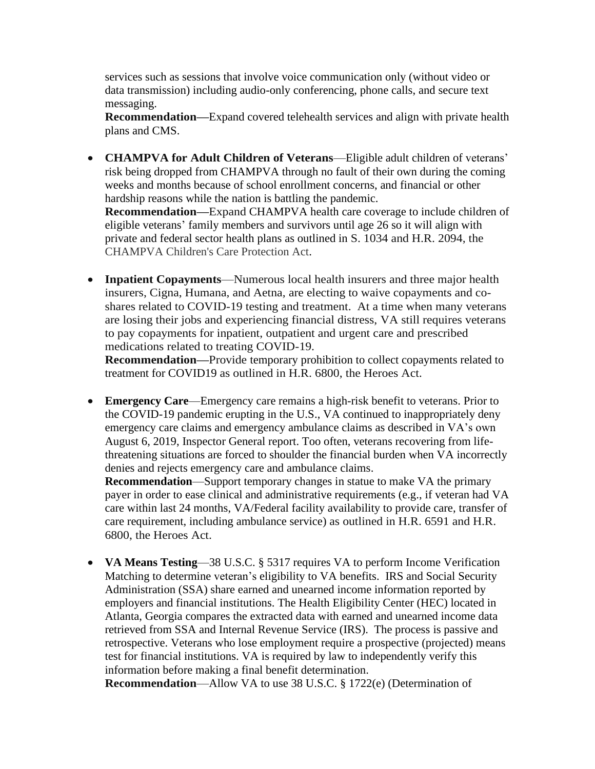services such as sessions that involve voice communication only (without video or data transmission) including audio-only conferencing, phone calls, and secure text messaging.

**Recommendation—**Expand covered telehealth services and align with private health plans and CMS.

- **CHAMPVA for Adult Children of Veterans**—Eligible adult children of veterans' risk being dropped from CHAMPVA through no fault of their own during the coming weeks and months because of school enrollment concerns, and financial or other hardship reasons while the nation is battling the pandemic. **Recommendation—**Expand CHAMPVA health care coverage to include children of eligible veterans' family members and survivors until age 26 so it will align with private and federal sector health plans as outlined in S. 1034 and H.R. 2094, the
	- CHAMPVA Children's Care Protection Act.
- **Inpatient Copayments**—Numerous local health insurers and three major health insurers, Cigna, Humana, and Aetna, are electing to waive copayments and coshares related to COVID-19 testing and treatment. At a time when many veterans are losing their jobs and experiencing financial distress, VA still requires veterans to pay copayments for inpatient, outpatient and urgent care and prescribed medications related to treating COVID-19.

**Recommendation—**Provide temporary prohibition to collect copayments related to treatment for COVID19 as outlined in H.R. 6800, the Heroes Act.

• **Emergency Care—Emergency care remains a high-risk benefit to veterans. Prior to** the COVID-19 pandemic erupting in the U.S., VA continued to inappropriately deny emergency care claims and emergency ambulance claims as described in VA's own August 6, 2019, Inspector General report. Too often, veterans recovering from lifethreatening situations are forced to shoulder the financial burden when VA incorrectly denies and rejects emergency care and ambulance claims. **Recommendation**—Support temporary changes in statue to make VA the primary

payer in order to ease clinical and administrative requirements (e.g., if veteran had VA care within last 24 months, VA/Federal facility availability to provide care, transfer of care requirement, including ambulance service) as outlined in H.R. 6591 and H.R. 6800, the Heroes Act.

• **VA Means Testing**—38 U.S.C. § 5317 requires VA to perform Income Verification Matching to determine veteran's eligibility to VA benefits. IRS and Social Security Administration (SSA) share earned and unearned income information reported by employers and financial institutions. The Health Eligibility Center (HEC) located in Atlanta, Georgia compares the extracted data with earned and unearned income data retrieved from SSA and Internal Revenue Service (IRS). The process is passive and retrospective. Veterans who lose employment require a prospective (projected) means test for financial institutions. VA is required by law to independently verify this information before making a final benefit determination.

**Recommendation**—Allow VA to use 38 U.S.C. § 1722(e) (Determination of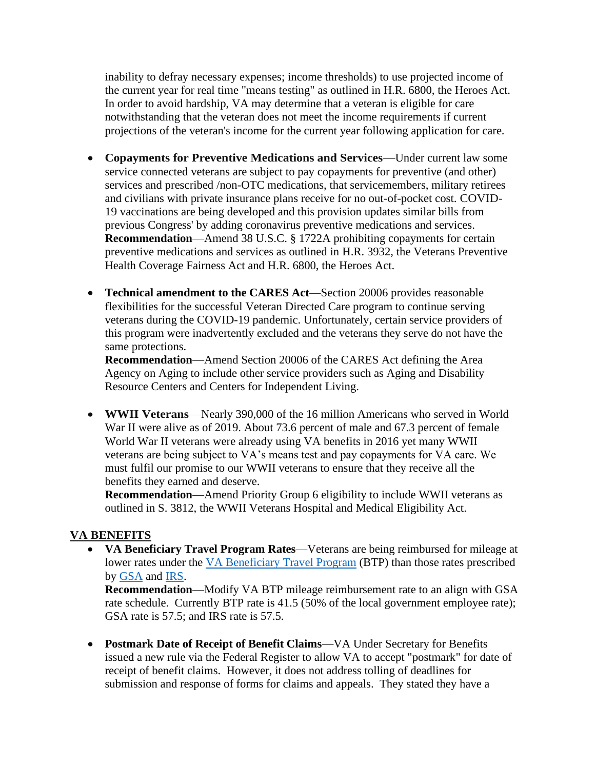inability to defray necessary expenses; income thresholds) to use projected income of the current year for real time "means testing" as outlined in H.R. 6800, the Heroes Act. In order to avoid hardship, VA may determine that a veteran is eligible for care notwithstanding that the veteran does not meet the income requirements if current projections of the veteran's income for the current year following application for care.

- **Copayments for Preventive Medications and Services**—Under current law some service connected veterans are subject to pay copayments for preventive (and other) services and prescribed /non-OTC medications, that servicemembers, military retirees and civilians with private insurance plans receive for no out-of-pocket cost. COVID-19 vaccinations are being developed and this provision updates similar bills from previous Congress' by adding coronavirus preventive medications and services. **Recommendation**—Amend 38 U.S.C. § 1722A prohibiting copayments for certain preventive medications and services as outlined in H.R. 3932, the Veterans Preventive Health Coverage Fairness Act and H.R. 6800, the Heroes Act.
- **Technical amendment to the CARES Act**—Section 20006 provides reasonable flexibilities for the successful Veteran Directed Care program to continue serving veterans during the COVID-19 pandemic. Unfortunately, certain service providers of this program were inadvertently excluded and the veterans they serve do not have the same protections.

**Recommendation**—Amend Section 20006 of the CARES Act defining the Area Agency on Aging to include other service providers such as Aging and Disability Resource Centers and Centers for Independent Living.

• **WWII Veterans**—Nearly 390,000 of the 16 million Americans who served in World War II were alive as of 2019. About 73.6 percent of male and 67.3 percent of female World War II veterans were already using VA benefits in 2016 yet many WWII veterans are being subject to VA's means test and pay copayments for VA care. We must fulfil our promise to our WWII veterans to ensure that they receive all the benefits they earned and deserve.

**Recommendation**—Amend Priority Group 6 eligibility to include WWII veterans as outlined in S. 3812, the WWII Veterans Hospital and Medical Eligibility Act.

## **VA BENEFITS**

• **VA Beneficiary Travel Program Rates**—Veterans are being reimbursed for mileage at lower rates under the [VA Beneficiary Travel Program](https://www.va.gov/health-care/get-reimbursed-for-travel-pay) (BTP) than those rates prescribed by [GSA](https://www.gsa.gov/travel/plan-book/transportation-airfare-pov-etc/privately-owned-vehicle-pov-mileage-reimbursement-rates) and [IRS.](https://www.irs.gov/tax-professionals/standard-mileage-rates)

**Recommendation**—Modify VA BTP mileage reimbursement rate to an align with GSA rate schedule. Currently BTP rate is 41.5 (50% of the local government employee rate); GSA rate is 57.5; and IRS rate is 57.5.

• **Postmark Date of Receipt of Benefit Claims**—VA Under Secretary for Benefits issued a new rule via the Federal Register to allow VA to accept "postmark" for date of receipt of benefit claims. However, it does not address tolling of deadlines for submission and response of forms for claims and appeals. They stated they have a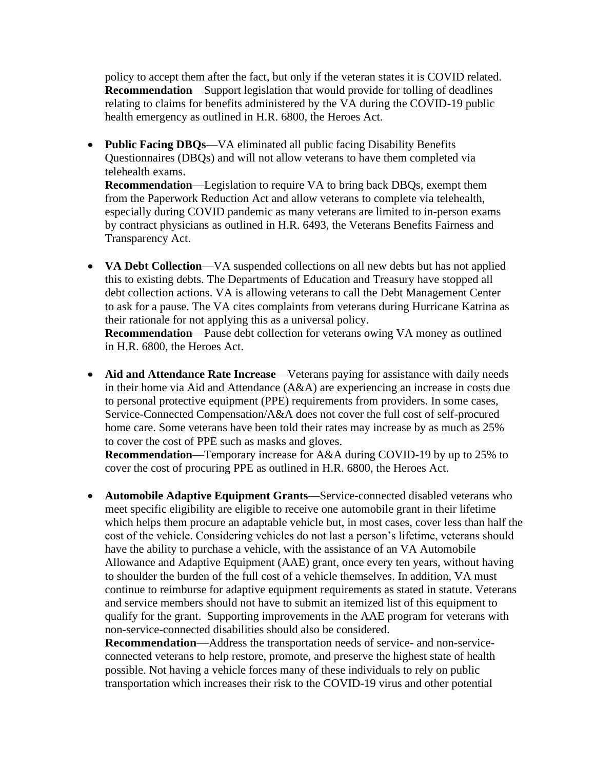policy to accept them after the fact, but only if the veteran states it is COVID related. **Recommendation**—Support legislation that would provide for tolling of deadlines relating to claims for benefits administered by the VA during the COVID-19 public health emergency as outlined in H.R. 6800, the Heroes Act.

• **Public Facing DBQs**—VA eliminated all public facing Disability Benefits Questionnaires (DBQs) and will not allow veterans to have them completed via telehealth exams. **Recommendation**—Legislation to require VA to bring back DBQs, exempt them from the Paperwork Reduction Act and allow veterans to complete via telehealth, especially during COVID pandemic as many veterans are limited to in-person exams

by contract physicians as outlined in H.R. 6493, the Veterans Benefits Fairness and Transparency Act.

• **VA Debt Collection**—VA suspended collections on all new debts but has not applied this to existing debts. The Departments of Education and Treasury have stopped all debt collection actions. VA is allowing veterans to call the Debt Management Center to ask for a pause. The VA cites complaints from veterans during Hurricane Katrina as their rationale for not applying this as a universal policy.

**Recommendation**—Pause debt collection for veterans owing VA money as outlined in H.R. 6800, the Heroes Act.

• Aid and Attendance Rate Increase—Veterans paying for assistance with daily needs in their home via Aid and Attendance (A&A) are experiencing an increase in costs due to personal protective equipment (PPE) requirements from providers. In some cases, Service-Connected Compensation/A&A does not cover the full cost of self-procured home care. Some veterans have been told their rates may increase by as much as 25% to cover the cost of PPE such as masks and gloves.

**Recommendation**—Temporary increase for A&A during COVID-19 by up to 25% to cover the cost of procuring PPE as outlined in H.R. 6800, the Heroes Act.

• **Automobile Adaptive Equipment Grants**—Service-connected disabled veterans who meet specific eligibility are eligible to receive one automobile grant in their lifetime which helps them procure an adaptable vehicle but, in most cases, cover less than half the cost of the vehicle. Considering vehicles do not last a person's lifetime, veterans should have the ability to purchase a vehicle, with the assistance of an VA Automobile Allowance and Adaptive Equipment (AAE) grant, once every ten years, without having to shoulder the burden of the full cost of a vehicle themselves. In addition, VA must continue to reimburse for adaptive equipment requirements as stated in statute. Veterans and service members should not have to submit an itemized list of this equipment to qualify for the grant. Supporting improvements in the AAE program for veterans with non-service-connected disabilities should also be considered.

**Recommendation**—Address the transportation needs of service- and non-serviceconnected veterans to help restore, promote, and preserve the highest state of health possible. Not having a vehicle forces many of these individuals to rely on public transportation which increases their risk to the COVID-19 virus and other potential